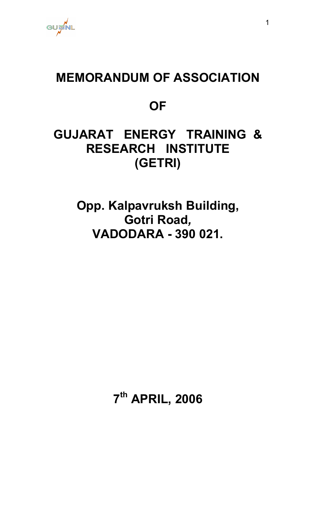GUYNL

# **MEMORANDUM OF ASSOCIATION**

## **OF**

# **GUJARAT ENERGY TRAINING & RESEARCH INSTITUTE (GETRI)**

**Opp. Kalpavruksh Building, Gotri Road***,* **VADODARA - 390 021.** 

**7th APRIL, 2006**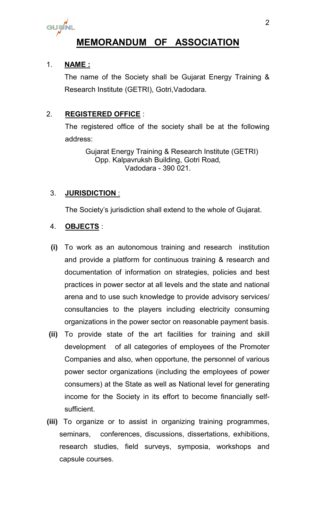

## **MEMORANDUM OF ASSOCIATION**

## 1. **NAME :**

The name of the Society shall be Gujarat Energy Training & Research Institute (GETRI), Gotri,Vadodara.

## 2. **REGISTERED OFFICE** :

The registered office of the society shall be at the following address:

Gujarat Energy Training & Research Institute (GETRI) Opp. Kalpavruksh Building, Gotri Road*,* Vadodara - 390 021.

## 3. **JURISDICTION** :

The Society's jurisdiction shall extend to the whole of Gujarat.

## 4. **OBJECTS** :

- **(i)** To work as an autonomous training and research institution and provide a platform for continuous training & research and documentation of information on strategies, policies and best practices in power sector at all levels and the state and national arena and to use such knowledge to provide advisory services/ consultancies to the players including electricity consuming organizations in the power sector on reasonable payment basis.
- **(ii)** To provide state of the art facilities for training and skill development of all categories of employees of the Promoter Companies and also, when opportune, the personnel of various power sector organizations (including the employees of power consumers) at the State as well as National level for generating income for the Society in its effort to become financially selfsufficient.
- **(iii)** To organize or to assist in organizing training programmes, seminars, conferences, discussions, dissertations, exhibitions, research studies, field surveys, symposia, workshops and capsule courses.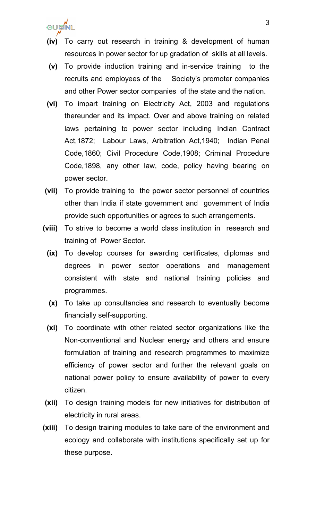GUVNL

- **(iv)** To carry out research in training & development of human resources in power sector for up gradation of skills at all levels.
- **(v)** To provide induction training and in-service training to the recruits and employees of the Society's promoter companies and other Power sector companies of the state and the nation.
- **(vi)** To impart training on Electricity Act, 2003 and regulations thereunder and its impact. Over and above training on related laws pertaining to power sector including Indian Contract Act,1872; Labour Laws, Arbitration Act,1940; Indian Penal Code,1860; Civil Procedure Code,1908; Criminal Procedure Code,1898, any other law, code, policy having bearing on power sector.
- **(vii)** To provide training to the power sector personnel of countries other than India if state government and government of India provide such opportunities or agrees to such arrangements.
- **(viii)** To strive to become a world class institution in research and training of Power Sector.
	- **(ix)** To develop courses for awarding certificates, diplomas and degrees in power sector operations and management consistent with state and national training policies and programmes.
	- **(x)** To take up consultancies and research to eventually become financially self-supporting.
	- **(xi)** To coordinate with other related sector organizations like the Non-conventional and Nuclear energy and others and ensure formulation of training and research programmes to maximize efficiency of power sector and further the relevant goals on national power policy to ensure availability of power to every citizen.
- **(xii)** To design training models for new initiatives for distribution of electricity in rural areas.
- **(xiii)** To design training modules to take care of the environment and ecology and collaborate with institutions specifically set up for these purpose.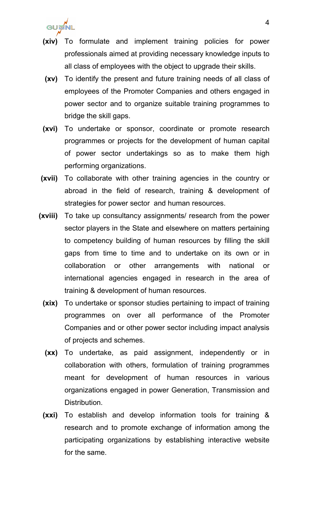GUYNL

- **(xiv)** To formulate and implement training policies for power professionals aimed at providing necessary knowledge inputs to all class of employees with the object to upgrade their skills.
- **(xv)** To identify the present and future training needs of all class of employees of the Promoter Companies and others engaged in power sector and to organize suitable training programmes to bridge the skill gaps.
- **(xvi)** To undertake or sponsor, coordinate or promote research programmes or projects for the development of human capital of power sector undertakings so as to make them high performing organizations.
- **(xvii)** To collaborate with other training agencies in the country or abroad in the field of research, training & development of strategies for power sector and human resources.
- **(xviii)** To take up consultancy assignments/ research from the power sector players in the State and elsewhere on matters pertaining to competency building of human resources by filling the skill gaps from time to time and to undertake on its own or in collaboration or other arrangements with national or international agencies engaged in research in the area of training & development of human resources.
	- **(xix)** To undertake or sponsor studies pertaining to impact of training programmes on over all performance of the Promoter Companies and or other power sector including impact analysis of projects and schemes.
	- **(xx)** To undertake, as paid assignment, independently or in collaboration with others, formulation of training programmes meant for development of human resources in various organizations engaged in power Generation, Transmission and Distribution.
	- **(xxi)** To establish and develop information tools for training & research and to promote exchange of information among the participating organizations by establishing interactive website for the same.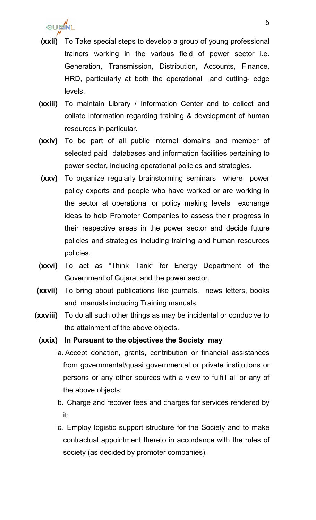

- **(xxii)** To Take special steps to develop a group of young professional trainers working in the various field of power sector i.e. Generation, Transmission, Distribution, Accounts, Finance, HRD, particularly at both the operational and cutting- edge levels.
- **(xxiii)** To maintain Library / Information Center and to collect and collate information regarding training & development of human resources in particular.
- **(xxiv)** To be part of all public internet domains and member of selected paid databases and information facilities pertaining to power sector, including operational policies and strategies.
- **(xxv)** To organize regularly brainstorming seminars where power policy experts and people who have worked or are working in the sector at operational or policy making levels exchange ideas to help Promoter Companies to assess their progress in their respective areas in the power sector and decide future policies and strategies including training and human resources policies.
- **(xxvi)** To act as "Think Tank" for Energy Department of the Government of Gujarat and the power sector.
- **(xxvii)** To bring about publications like journals, news letters, books and manuals including Training manuals.
- **(xxviii)** To do all such other things as may be incidental or conducive to the attainment of the above objects.

## **(xxix) In Pursuant to the objectives the Society may**

- a. Accept donation, grants, contribution or financial assistances from governmental/quasi governmental or private institutions or persons or any other sources with a view to fulfill all or any of the above objects;
- b. Charge and recover fees and charges for services rendered by it;
- c. Employ logistic support structure for the Society and to make contractual appointment thereto in accordance with the rules of society (as decided by promoter companies).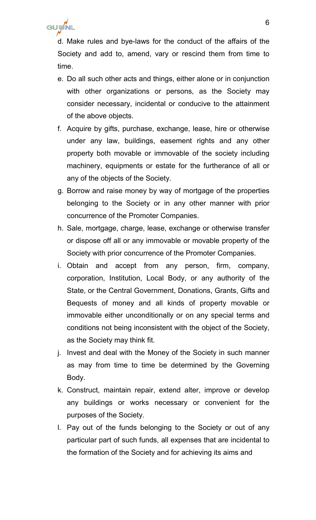

d. Make rules and bye-laws for the conduct of the affairs of the Society and add to, amend, vary or rescind them from time to time.

- e. Do all such other acts and things, either alone or in conjunction with other organizations or persons, as the Society may consider necessary, incidental or conducive to the attainment of the above objects.
- f. Acquire by gifts, purchase, exchange, lease, hire or otherwise under any law, buildings, easement rights and any other property both movable or immovable of the society including machinery, equipments or estate for the furtherance of all or any of the objects of the Society.
- g. Borrow and raise money by way of mortgage of the properties belonging to the Society or in any other manner with prior concurrence of the Promoter Companies.
- h. Sale, mortgage, charge, lease, exchange or otherwise transfer or dispose off all or any immovable or movable property of the Society with prior concurrence of the Promoter Companies.
- i. Obtain and accept from any person, firm, company, corporation, Institution, Local Body, or any authority of the State, or the Central Government, Donations, Grants, Gifts and Bequests of money and all kinds of property movable or immovable either unconditionally or on any special terms and conditions not being inconsistent with the object of the Society, as the Society may think fit.
- j. Invest and deal with the Money of the Society in such manner as may from time to time be determined by the Governing Body.
- k. Construct, maintain repair, extend alter, improve or develop any buildings or works necessary or convenient for the purposes of the Society.
- l. Pay out of the funds belonging to the Society or out of any particular part of such funds, all expenses that are incidental to the formation of the Society and for achieving its aims and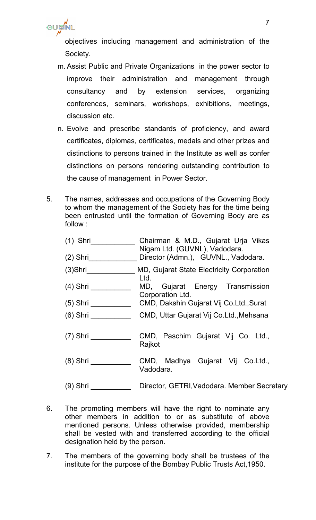

objectives including management and administration of the Society.

- m. Assist Public and Private Organizations in the power sector to improve their administration and management through consultancy and by extension services, organizing conferences, seminars, workshops, exhibitions, meetings, discussion etc.
- n. Evolve and prescribe standards of proficiency, and award certificates, diplomas, certificates, medals and other prizes and distinctions to persons trained in the Institute as well as confer distinctions on persons rendering outstanding contribution to the cause of management in Power Sector.
- 5. The names, addresses and occupations of the Governing Body to whom the management of the Society has for the time being been entrusted until the formation of Governing Body are as follow :

| (1) Shri | Chairman & M.D., Gujarat Urja Vikas<br>Nigam Ltd. (GUVNL), Vadodara.<br>Director (Admn.), GUVNL., Vadodara. |  |  |
|----------|-------------------------------------------------------------------------------------------------------------|--|--|
| (2) Shri |                                                                                                             |  |  |
| (3)Shri  | MD, Gujarat State Electricity Corporation<br>Ltd.                                                           |  |  |
| (4) Shri | MD, Gujarat Energy Transmission<br>Corporation Ltd.                                                         |  |  |
| (5) Shri | CMD, Dakshin Gujarat Vij Co.Ltd., Surat                                                                     |  |  |
| (6) Shri | CMD, Uttar Gujarat Vij Co.Ltd., Mehsana                                                                     |  |  |
| (7) Shri | CMD, Paschim Gujarat Vij Co. Ltd.,<br>Rajkot                                                                |  |  |
| (8) Shri | CMD, Madhya Gujarat Vij Co.Ltd.,<br>Vadodara.                                                               |  |  |
| (9) Shri | Director, GETRI, Vadodara. Member Secretary                                                                 |  |  |

- 6. The promoting members will have the right to nominate any other members in addition to or as substitute of above mentioned persons. Unless otherwise provided, membership shall be vested with and transferred according to the official designation held by the person.
- 7. The members of the governing body shall be trustees of the institute for the purpose of the Bombay Public Trusts Act,1950.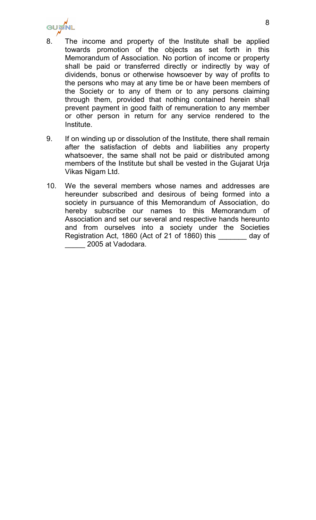

- 8. The income and property of the Institute shall be applied towards promotion of the objects as set forth in this Memorandum of Association. No portion of income or property shall be paid or transferred directly or indirectly by way of dividends, bonus or otherwise howsoever by way of profits to the persons who may at any time be or have been members of the Society or to any of them or to any persons claiming through them, provided that nothing contained herein shall prevent payment in good faith of remuneration to any member or other person in return for any service rendered to the Institute.
- 9. If on winding up or dissolution of the Institute, there shall remain after the satisfaction of debts and liabilities any property whatsoever, the same shall not be paid or distributed among members of the Institute but shall be vested in the Gujarat Urja Vikas Nigam Ltd.
- 10. We the several members whose names and addresses are hereunder subscribed and desirous of being formed into a society in pursuance of this Memorandum of Association, do hereby subscribe our names to this Memorandum of Association and set our several and respective hands hereunto and from ourselves into a society under the Societies Registration Act, 1860 (Act of 21 of 1860) this \_\_\_\_\_\_\_ day of \_\_\_\_\_ 2005 at Vadodara.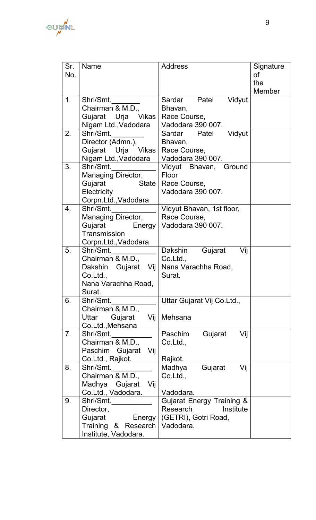GUNNL

| Sr.<br>No.       | <b>Name</b>                                                                                       | <b>Address</b>                                                                        | Signature<br>οf<br>the<br><b>Member</b> |
|------------------|---------------------------------------------------------------------------------------------------|---------------------------------------------------------------------------------------|-----------------------------------------|
| 1.               | Shri/Smt.<br>Chairman & M.D.,<br>Gujarat Urja Vikas<br>Nigam Ltd., Vadodara                       | Sardar Patel<br>Vidyut<br>Bhavan,<br>Race Course,<br>Vadodara 390 007.                |                                         |
| 2.               | Shri/Smt.<br>Director (Admn.),<br>Gujarat Urja Vikas<br>Nigam Ltd., Vadodara                      | Vidyut<br>Sardar Patel<br>Bhavan,<br>Race Course,<br>Vadodara 390 007.                |                                         |
| 3.               | Shri/Smt.<br>Managing Director,<br>Gujarat<br>State<br><b>Electricity</b><br>Corpn.Ltd., Vadodara | Vidyut Bhavan, Ground<br>Floor<br>Race Course,<br>Vadodara 390 007.                   |                                         |
| $\overline{4}$ . | Shri/Smt.<br>Managing Director,<br>Gujarat Energy<br>Transmission<br>Corpn.Ltd., Vadodara         | Vidyut Bhavan, 1st floor,<br>Race Course,<br>Vadodara 390 007.                        |                                         |
| 5.               | Shri/Smt.<br>Chairman & M.D.,<br>Dakshin Gujarat Vij<br>Co.Ltd.,<br>Nana Varachha Road,<br>Surat. | Dakshin<br>Gujarat<br>Vij<br>Co.Ltd.,<br>Nana Varachha Road,<br>Surat.                |                                         |
| 6.               | Shri/Smt.<br>Chairman & M.D.,<br>Gujarat<br>Uttar<br>Vij<br>Co.Ltd., Mehsana                      | Uttar Gujarat Vij Co.Ltd.,<br>Mehsana                                                 |                                         |
| 7 <sub>1</sub>   | Shri/Smt.<br>Chairman & M.D.,<br>Paschim Gujarat Vij<br>Co.Ltd., Rajkot.                          | Gujarat<br>Paschim<br>Vij<br>Co.Ltd.,<br>Rajkot.                                      |                                         |
| 8.               | Shri/Smt.<br>Chairman & M.D.,<br>Madhya Gujarat<br>-Vij<br>Co.Ltd., Vadodara.                     | Vij<br>Gujarat<br>Madhya<br>Co.Ltd.,<br>Vadodara.                                     |                                         |
| 9.               | Shri/Smt.<br>Director,<br>Gujarat Energy<br>Training & Research Vadodara.<br>Institute, Vadodara. | <b>Gujarat Energy Training &amp;</b><br>Institute<br>Research<br>(GETRI), Gotri Road, |                                         |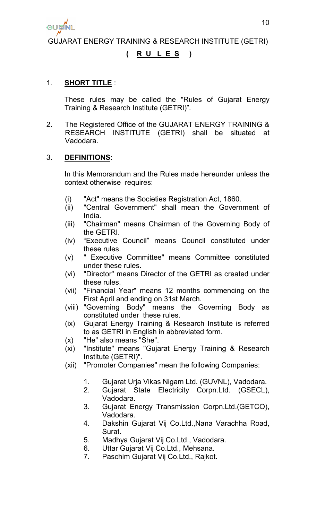

GUJARAT ENERGY TRAINING & RESEARCH INSTITUTE (GETRI)

## **( R U L E S )**

## 1. **SHORT TITLE** :

These rules may be called the "Rules of Gujarat Energy Training & Research Institute (GETRI)".

2. The Registered Office of the GUJARAT ENERGY TRAINING & RESEARCH INSTITUTE (GETRI) shall be situated at Vadodara.

## 3. **DEFINITIONS**:

In this Memorandum and the Rules made hereunder unless the context otherwise requires:

- (i) "Act" means the Societies Registration Act, 1860.
- (ii) "Central Government" shall mean the Government of India.
- (iii) "Chairman" means Chairman of the Governing Body of the GETRI.
- (iv) "Executive Council" means Council constituted under these rules.
- (v) " Executive Committee" means Committee constituted under these rules.
- (vi) "Director" means Director of the GETRI as created under these rules.
- (vii) "Financial Year" means 12 months commencing on the First April and ending on 31st March.
- (viii) "Governing Body" means the Governing Body as constituted under these rules.
- (ix) Gujarat Energy Training & Research Institute is referred to as GETRI in English in abbreviated form.
- (x) "He" also means "She".
- (xi) "Institute" means "Gujarat Energy Training & Research Institute (GETRI)".
- (xii) "Promoter Companies" mean the following Companies:
	- 1. Gujarat Urja Vikas Nigam Ltd. (GUVNL), Vadodara.
	- 2. Gujarat State Electricity Corpn.Ltd. (GSECL), Vadodara.
	- 3. Gujarat Energy Transmission Corpn.Ltd.(GETCO), Vadodara.
	- 4. Dakshin Gujarat Vij Co.Ltd.,Nana Varachha Road, Surat.
	- 5. Madhya Gujarat Vij Co.Ltd., Vadodara.
	- 6. Uttar Gujarat Vij Co.Ltd., Mehsana.
	- 7. Paschim Gujarat Vij Co.Ltd., Rajkot.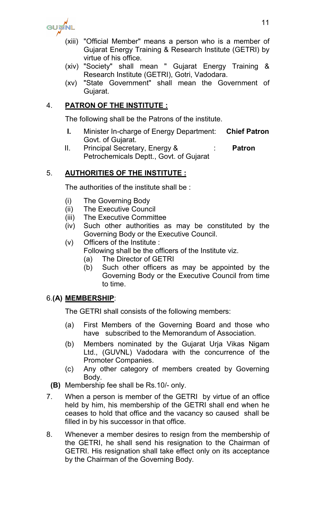

- (xiii) "Official Member" means a person who is a member of Gujarat Energy Training & Research Institute (GETRI) by virtue of his office.
- (xiv) "Society" shall mean " Gujarat Energy Training & Research Institute (GETRI), Gotri, Vadodara.
- (xv) "State Government" shall mean the Government of Gujarat.

## 4. **PATRON OF THE INSTITUTE :**

The following shall be the Patrons of the institute.

- **I.** Minister In-charge of Energy Department: **Chief Patron** Govt. of Gujarat.
- II. Principal Secretary, Energy & : **Patron** Petrochemicals Deptt., Govt. of Gujarat

## 5. **AUTHORITIES OF THE INSTITUTE :**

The authorities of the institute shall be :

- (i) The Governing Body
- (ii) The Executive Council
- (iii) The Executive Committee
- (iv) Such other authorities as may be constituted by the Governing Body or the Executive Council.
- (v) Officers of the Institute : Following shall be the officers of the Institute viz.
	- (a) The Director of GETRI
	- (b) Such other officers as may be appointed by the Governing Body or the Executive Council from time to time.

## 6.**(A) MEMBERSHIP**:

The GETRI shall consists of the following members:

- (a) First Members of the Governing Board and those who have subscribed to the Memorandum of Association.
- (b) Members nominated by the Gujarat Urja Vikas Nigam Ltd., (GUVNL) Vadodara with the concurrence of the Promoter Companies.
- (c) Any other category of members created by Governing Body.
- **(B)** Membership fee shall be Rs.10/- only.
- 7. When a person is member of the GETRI by virtue of an office held by him, his membership of the GETRI shall end when he ceases to hold that office and the vacancy so caused shall be filled in by his successor in that office.
- 8. Whenever a member desires to resign from the membership of the GETRI, he shall send his resignation to the Chairman of GETRI. His resignation shall take effect only on its acceptance by the Chairman of the Governing Body.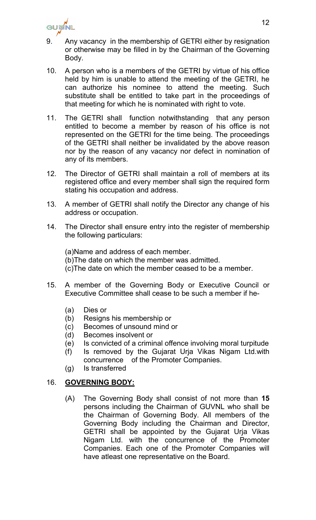

- 9. Any vacancy in the membership of GETRI either by resignation or otherwise may be filled in by the Chairman of the Governing Body.
- 10. A person who is a members of the GETRI by virtue of his office held by him is unable to attend the meeting of the GETRI, he can authorize his nominee to attend the meeting. Such substitute shall be entitled to take part in the proceedings of that meeting for which he is nominated with right to vote.
- 11. The GETRI shall function notwithstanding that any person entitled to become a member by reason of his office is not represented on the GETRI for the time being. The proceedings of the GETRI shall neither be invalidated by the above reason nor by the reason of any vacancy nor defect in nomination of any of its members.
- 12. The Director of GETRI shall maintain a roll of members at its registered office and every member shall sign the required form stating his occupation and address.
- 13. A member of GETRI shall notify the Director any change of his address or occupation.
- 14. The Director shall ensure entry into the register of membership the following particulars:

(a)Name and address of each member. (b)The date on which the member was admitted. (c)The date on which the member ceased to be a member.

- 15. A member of the Governing Body or Executive Council or Executive Committee shall cease to be such a member if he-
	- (a) Dies or
	- (b) Resigns his membership or
	- (c) Becomes of unsound mind or
	- (d) Becomes insolvent or
	- (e) Is convicted of a criminal offence involving moral turpitude
	- (f) Is removed by the Gujarat Urja Vikas Nigam Ltd.with concurrence of the Promoter Companies.
	- (g) Is transferred

## 16. **GOVERNING BODY:**

(A) The Governing Body shall consist of not more than **15** persons including the Chairman of GUVNL who shall be the Chairman of Governing Body. All members of the Governing Body including the Chairman and Director, GETRI shall be appointed by the Gujarat Urja Vikas Nigam Ltd. with the concurrence of the Promoter Companies. Each one of the Promoter Companies will have atleast one representative on the Board.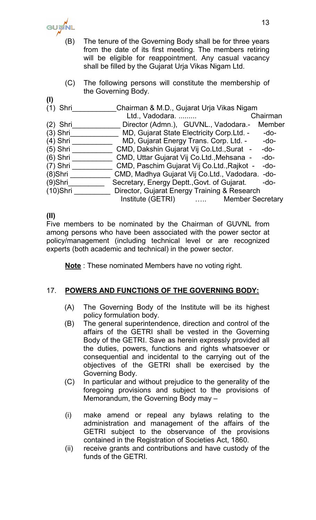

- (B) The tenure of the Governing Body shall be for three years from the date of its first meeting. The members retiring will be eligible for reappointment. Any casual vacancy shall be filled by the Gujarat Urja Vikas Nigam Ltd.
- (C) The following persons will constitute the membership of the Governing Body.

| $($ l       |                                                  |                         |
|-------------|--------------------------------------------------|-------------------------|
| Shri        | Chairman & M.D., Gujarat Urja Vikas Nigam        |                         |
|             | Ltd., Vadodara.                                  | Chairman                |
| $(2)$ Shri  | Director (Admn.), GUVNL., Vadodara.-             | Member                  |
| (3) Shri    | MD, Gujarat State Electricity Corp. Ltd. -       | $-do-$                  |
| (4) Shri    | MD, Gujarat Energy Trans. Corp. Ltd. -           | $-do-$                  |
| (5) Shri    | CMD, Dakshin Gujarat Vij Co.Ltd., Surat -        | $-do-$                  |
| (6) Shri    | CMD, Uttar Gujarat Vij Co.Ltd., Mehsana -        | $-do-$                  |
| $(7)$ Shri  | CMD, Paschim Gujarat Vij Co.Ltd., Rajkot -       | $-do-$                  |
| (8)Shri     | CMD, Madhya Gujarat Vij Co.Ltd., Vadodara. - do- |                         |
| $(9)$ Shri  | Secretary, Energy Deptt., Govt. of Gujarat.      | $-do-$                  |
| $(10)$ Shri | Director, Gujarat Energy Training & Research     |                         |
|             | Institute (GETRI)                                | <b>Member Secretary</b> |

## **(II)**

Five members to be nominated by the Chairman of GUVNL from among persons who have been associated with the power sector at policy/management (including technical level or are recognized experts (both academic and technical) in the power sector.

**Note** : These nominated Members have no voting right.

## 17. **POWERS AND FUNCTIONS OF THE GOVERNING BODY:**

- (A) The Governing Body of the Institute will be its highest policy formulation body.
- (B) The general superintendence, direction and control of the affairs of the GETRI shall be vested in the Governing Body of the GETRI. Save as herein expressly provided all the duties, powers, functions and rights whatsoever or consequential and incidental to the carrying out of the objectives of the GETRI shall be exercised by the Governing Body.
- (C) In particular and without prejudice to the generality of the foregoing provisions and subject to the provisions of Memorandum, the Governing Body may –
- (i) make amend or repeal any bylaws relating to the administration and management of the affairs of the GETRI subject to the observance of the provisions contained in the Registration of Societies Act, 1860.
- (ii) receive grants and contributions and have custody of the funds of the GETRI.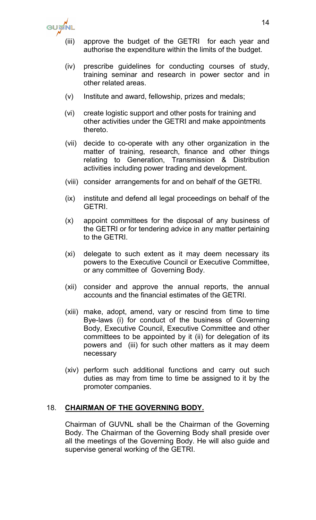

- (iii) approve the budget of the GETRI for each year and authorise the expenditure within the limits of the budget.
- (iv) prescribe guidelines for conducting courses of study, training seminar and research in power sector and in other related areas.
- (v) Institute and award, fellowship, prizes and medals;
- (vi) create logistic support and other posts for training and other activities under the GETRI and make appointments thereto.
- (vii) decide to co-operate with any other organization in the matter of training, research, finance and other things relating to Generation, Transmission & Distribution activities including power trading and development.
- (viii) consider arrangements for and on behalf of the GETRI.
- (ix) institute and defend all legal proceedings on behalf of the GETRI.
- (x) appoint committees for the disposal of any business of the GETRI or for tendering advice in any matter pertaining to the GETRI.
- (xi) delegate to such extent as it may deem necessary its powers to the Executive Council or Executive Committee, or any committee of Governing Body.
- (xii) consider and approve the annual reports, the annual accounts and the financial estimates of the GETRI.
- (xiii) make, adopt, amend, vary or rescind from time to time Bye-laws (i) for conduct of the business of Governing Body, Executive Council, Executive Committee and other committees to be appointed by it (ii) for delegation of its powers and (iii) for such other matters as it may deem necessary
- (xiv) perform such additional functions and carry out such duties as may from time to time be assigned to it by the promoter companies.

## 18. **CHAIRMAN OF THE GOVERNING BODY.**

Chairman of GUVNL shall be the Chairman of the Governing Body. The Chairman of the Governing Body shall preside over all the meetings of the Governing Body. He will also guide and supervise general working of the GETRI.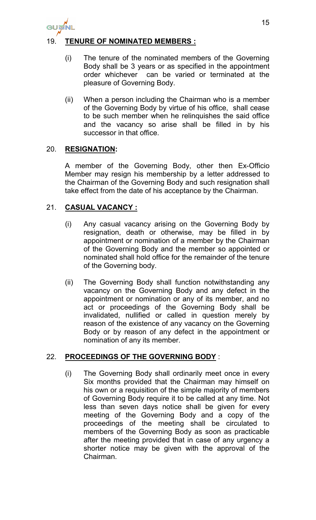

## 19. **TENURE OF NOMINATED MEMBERS :**

- (i) The tenure of the nominated members of the Governing Body shall be 3 years or as specified in the appointment order whichever can be varied or terminated at the pleasure of Governing Body.
- (ii) When a person including the Chairman who is a member of the Governing Body by virtue of his office, shall cease to be such member when he relinquishes the said office and the vacancy so arise shall be filled in by his successor in that office.

#### 20. **RESIGNATION:**

A member of the Governing Body, other then Ex-Officio Member may resign his membership by a letter addressed to the Chairman of the Governing Body and such resignation shall take effect from the date of his acceptance by the Chairman.

#### 21. **CASUAL VACANCY :**

- (i) Any casual vacancy arising on the Governing Body by resignation, death or otherwise, may be filled in by appointment or nomination of a member by the Chairman of the Governing Body and the member so appointed or nominated shall hold office for the remainder of the tenure of the Governing body.
- (ii) The Governing Body shall function notwithstanding any vacancy on the Governing Body and any defect in the appointment or nomination or any of its member, and no act or proceedings of the Governing Body shall be invalidated, nullified or called in question merely by reason of the existence of any vacancy on the Governing Body or by reason of any defect in the appointment or nomination of any its member.

## 22. **PROCEEDINGS OF THE GOVERNING BODY** :

(i) The Governing Body shall ordinarily meet once in every Six months provided that the Chairman may himself on his own or a requisition of the simple majority of members of Governing Body require it to be called at any time. Not less than seven days notice shall be given for every meeting of the Governing Body and a copy of the proceedings of the meeting shall be circulated to members of the Governing Body as soon as practicable after the meeting provided that in case of any urgency a shorter notice may be given with the approval of the Chairman.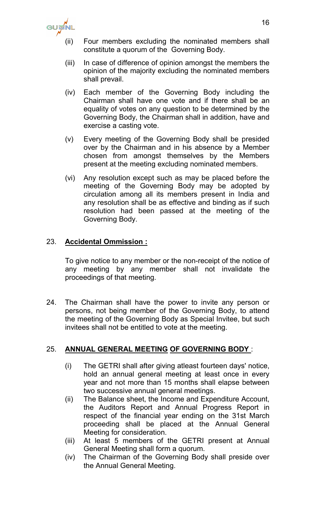

- (ii) Four members excluding the nominated members shall constitute a quorum of the Governing Body.
- (iii) In case of difference of opinion amongst the members the opinion of the majority excluding the nominated members shall prevail.
- (iv) Each member of the Governing Body including the Chairman shall have one vote and if there shall be an equality of votes on any question to be determined by the Governing Body, the Chairman shall in addition, have and exercise a casting vote.
- (v) Every meeting of the Governing Body shall be presided over by the Chairman and in his absence by a Member chosen from amongst themselves by the Members present at the meeting excluding nominated members.
- (vi) Any resolution except such as may be placed before the meeting of the Governing Body may be adopted by circulation among all its members present in India and any resolution shall be as effective and binding as if such resolution had been passed at the meeting of the Governing Body.

#### 23. **Accidental Ommission :**

To give notice to any member or the non-receipt of the notice of any meeting by any member shall not invalidate the proceedings of that meeting.

24. The Chairman shall have the power to invite any person or persons, not being member of the Governing Body, to attend the meeting of the Governing Body as Special Invitee, but such invitees shall not be entitled to vote at the meeting.

#### 25. **ANNUAL GENERAL MEETING OF GOVERNING BODY** :

- (i) The GETRI shall after giving atleast fourteen days' notice, hold an annual general meeting at least once in every year and not more than 15 months shall elapse between two successive annual general meetings.
- (ii) The Balance sheet, the Income and Expenditure Account, the Auditors Report and Annual Progress Report in respect of the financial year ending on the 31st March proceeding shall be placed at the Annual General Meeting for consideration.
- (iii) At least 5 members of the GETRI present at Annual General Meeting shall form a quorum.
- (iv) The Chairman of the Governing Body shall preside over the Annual General Meeting.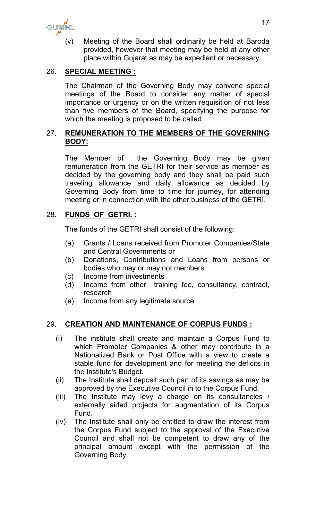

(v) Meeting of the Board shall ordinarily be held at Baroda provided, however that meeting may be held at any other place within Gujarat as may be expedient or necessary.

#### 26. **SPECIAL MEETING :**

The Chairman of the Governing Body may convene special meetings of the Board to consider any matter of special importance or urgency or on the written requisition of not less than five members of the Board, specifying the purpose for which the meeting is proposed to be called.

#### 27. **REMUNERATION TO THE MEMBERS OF THE GOVERNING BODY:**

The Member of the Governing Body may be given remuneration from the GETRI for their service as member as decided by the governing body and they shall be paid such traveling allowance and daily allowance as decided by Governing Body from time to time for journey, for attending meeting or in connection with the other business of the GETRI.

#### 28. **FUNDS OF GETRI. :**

The funds of the GETRI shall consist of the following:

- (a) Grants / Loans received from Promoter Companies/State and Central Governments or
- (b) Donations, Contributions and Loans from persons or bodies who may or may not members.
- (c) Income from investments
- (d) Income from other training fee, consultancy, contract, research
- (e) Income from any legitimate source

#### 29. **CREATION AND MAINTENANCE OF CORPUS FUNDS :**

- (i) The institute shall create and maintain a Corpus Fund to which Promoter Companies & other may contribute in a Nationalized Bank or Post Office with a view to create a stable fund for development and for meeting the deficits in the Institute's Budget.
- (ii) The Institute shall deposit such part of its savings as may be approved by the Executive Council in to the Corpus Fund.
- (iii) The Institute may levy a charge on its consultancies / externally aided projects for augmentation of its Corpus Fund.
- (iv) The Institute shall only be entitled to draw the interest from the Corpus Fund subject to the approval of the Executive Council and shall not be competent to draw any of the principal amount except with the permission of the Governing Body.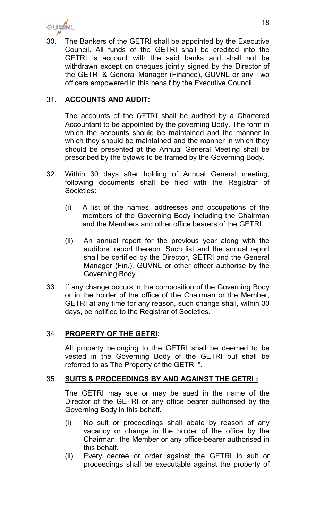

30. The Bankers of the GETRI shall be appointed by the Executive Council. All funds of the GETRI shall be credited into the GETRI 's account with the said banks and shall not be withdrawn except on cheques jointly signed by the Director of the GETRI & General Manager (Finance), GUVNL or any Two officers empowered in this behalf by the Executive Council.

## 31. **ACCOUNTS AND AUDIT:**

The accounts of the GETRI shall be audited by a Chartered Accountant to be appointed by the governing Body. The form in which the accounts should be maintained and the manner in which they should be maintained and the manner in which they should be presented at the Annual General Meeting shall be prescribed by the bylaws to be framed by the Governing Body.

- 32. Within 30 days after holding of Annual General meeting, following documents shall be filed with the Registrar of Societies:
	- (i) A list of the names, addresses and occupations of the members of the Governing Body including the Chairman and the Members and other office bearers of the GETRI.
	- (ii) An annual report for the previous year along with the auditors' report thereon. Such list and the annual report shall be certified by the Director, GETRI and the General Manager (Fin.), GUVNL or other officer authorise by the Governing Body.
- 33. If any change occurs in the composition of the Governing Body or in the holder of the office of the Chairman or the Member, GETRI at any time for any reason, such change shall, within 30 days, be notified to the Registrar of Societies.

## 34. **PROPERTY OF THE GETRI:**

All property belonging to the GETRI shall be deemed to be vested in the Governing Body of the GETRI but shall be referred to as The Property of the GETRI ".

## 35. **SUITS & PROCEEDINGS BY AND AGAINST THE GETRI :**

The GETRI may sue or may be sued in the name of the Director of the GETRI or any office bearer authorised by the Governing Body in this behalf.

- (i) No suit or proceedings shall abate by reason of any vacancy or change in the holder of the office by the Chairman, the Member or any office-bearer authorised in this behalf.
- (ii) Every decree or order against the GETRI in suit or proceedings shall be executable against the property of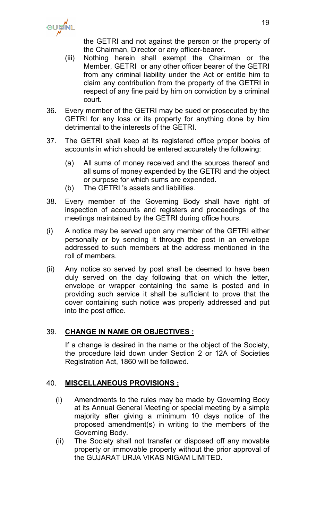GUYNL

the GETRI and not against the person or the property of the Chairman, Director or any officer-bearer.

- (iii) Nothing herein shall exempt the Chairman or the Member, GETRI or any other officer bearer of the GETRI from any criminal liability under the Act or entitle him to claim any contribution from the property of the GETRI in respect of any fine paid by him on conviction by a criminal court.
- 36. Every member of the GETRI may be sued or prosecuted by the GETRI for any loss or its property for anything done by him detrimental to the interests of the GETRI.
- 37. The GETRI shall keep at its registered office proper books of accounts in which should be entered accurately the following:
	- (a) All sums of money received and the sources thereof and all sums of money expended by the GETRI and the object or purpose for which sums are expended.
	- (b) The GETRI 's assets and liabilities.
- 38. Every member of the Governing Body shall have right of inspection of accounts and registers and proceedings of the meetings maintained by the GETRI during office hours.
- (i) A notice may be served upon any member of the GETRI either personally or by sending it through the post in an envelope addressed to such members at the address mentioned in the roll of members.
- (ii) Any notice so served by post shall be deemed to have been duly served on the day following that on which the letter, envelope or wrapper containing the same is posted and in providing such service it shall be sufficient to prove that the cover containing such notice was properly addressed and put into the post office.

## 39. **CHANGE IN NAME OR OBJECTIVES :**

If a change is desired in the name or the object of the Society, the procedure laid down under Section 2 or 12A of Societies Registration Act, 1860 will be followed.

## 40. **MISCELLANEOUS PROVISIONS :**

- (i) Amendments to the rules may be made by Governing Body at its Annual General Meeting or special meeting by a simple majority after giving a minimum 10 days notice of the proposed amendment(s) in writing to the members of the Governing Body.
- (ii) The Society shall not transfer or disposed off any movable property or immovable property without the prior approval of the GUJARAT URJA VIKAS NIGAM LIMITED.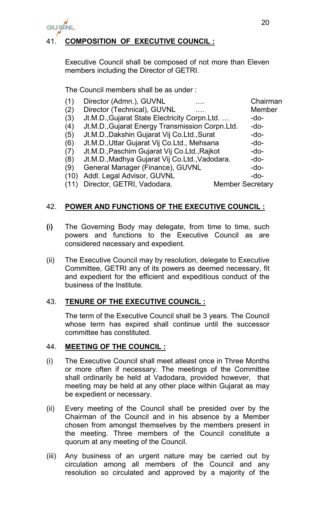

## 41. **COMPOSITION OF EXECUTIVE COUNCIL :**

Executive Council shall be composed of not more than Eleven members including the Director of GETRI.

The Council members shall be as under :

| (1)  | Director (Admn.), GUVNL                         |                         | Chairman      |
|------|-------------------------------------------------|-------------------------|---------------|
| (2)  | Director (Technical), GUVNL<br>$\cdots$         |                         | <b>Member</b> |
| (3)  | Jt.M.D., Gujarat State Electricity Corpn.Ltd.   |                         | -do-          |
| (4)  | Jt.M.D., Gujarat Energy Transmission Corpn.Ltd. |                         | $-do-$        |
| (5)  | Jt.M.D., Dakshin Gujarat Vij Co.Ltd., Surat     |                         | -do-          |
| (6)  | Jt.M.D., Uttar Gujarat Vij Co.Ltd., Mehsana     |                         | $-do-$        |
| (7)  | Jt.M.D., Paschim Gujarat Vij Co.Ltd., Rajkot    |                         | $-do-$        |
| (8)  | Jt.M.D., Madhya Gujarat Vij Co.Ltd., Vadodara.  |                         | $-do-$        |
| (9)  | General Manager (Finance), GUVNL                |                         | $-do-$        |
| (10) | Addl. Legal Advisor, GUVNL                      |                         | $-do-$        |
|      | Director, GETRI, Vadodara.                      | <b>Member Secretary</b> |               |
|      |                                                 |                         |               |

## 42. **POWER AND FUNCTIONS OF THE EXECUTIVE COUNCIL :**

- **(**i**)** The Governing Body may delegate, from time to time, such powers and functions to the Executive Council as are considered necessary and expedient.
- (ii) The Executive Council may by resolution, delegate to Executive Committee, GETRI any of its powers as deemed necessary, fit and expedient for the efficient and expeditious conduct of the business of the Institute.

## 43. **TENURE OF THE EXECUTIVE COUNCIL :**

The term of the Executive Council shall be 3 years. The Council whose term has expired shall continue until the successor committee has constituted.

## 44. **MEETING OF THE COUNCIL :**

- (i) The Executive Council shall meet atleast once in Three Months or more often if necessary. The meetings of the Committee shall ordinarily be held at Vadodara, provided however, that meeting may be held at any other place within Gujarat as may be expedient or necessary.
- (ii) Every meeting of the Council shall be presided over by the Chairman of the Council and in his absence by a Member chosen from amongst themselves by the members present in the meeting. Three members of the Council constitute a quorum at any meeting of the Council.
- (iii) Any business of an urgent nature may be carried out by circulation among all members of the Council and any resolution so circulated and approved by a majority of the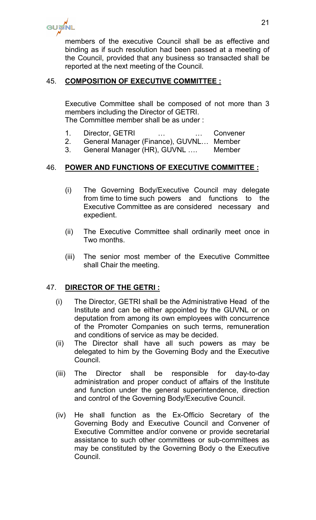

members of the executive Council shall be as effective and binding as if such resolution had been passed at a meeting of the Council, provided that any business so transacted shall be reported at the next meeting of the Council.

## 45. **COMPOSITION OF EXECUTIVE COMMITTEE :**

Executive Committee shall be composed of not more than 3 members including the Director of GETRI. The Committee member shall be as under :

- 1. Director, GETRI … … Convener
- 2. General Manager (Finance), GUVNL… Member
- 3. General Manager (HR), GUVNL .... Member

## 46. **POWER AND FUNCTIONS OF EXECUTIVE COMMITTEE :**

- (i) The Governing Body/Executive Council may delegate from time to time such powers and functions to the Executive Committee as are considered necessary and expedient.
- (ii) The Executive Committee shall ordinarily meet once in Two months.
- (iii) The senior most member of the Executive Committee shall Chair the meeting.

## 47. **DIRECTOR OF THE GETRI :**

- (i) The Director, GETRI shall be the Administrative Head of the Institute and can be either appointed by the GUVNL or on deputation from among its own employees with concurrence of the Promoter Companies on such terms, remuneration and conditions of service as may be decided.
- (ii) The Director shall have all such powers as may be delegated to him by the Governing Body and the Executive Council.
- (iii) The Director shall be responsible for day-to-day administration and proper conduct of affairs of the Institute and function under the general superintendence, direction and control of the Governing Body/Executive Council.
- (iv) He shall function as the Ex-Officio Secretary of the Governing Body and Executive Council and Convener of Executive Committee and/or convene or provide secretarial assistance to such other committees or sub-committees as may be constituted by the Governing Body o the Executive Council.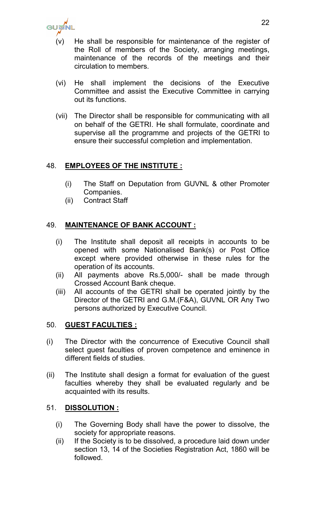GUVNL

- (v) He shall be responsible for maintenance of the register of the Roll of members of the Society, arranging meetings, maintenance of the records of the meetings and their circulation to members.
- (vi) He shall implement the decisions of the Executive Committee and assist the Executive Committee in carrying out its functions.
- (vii) The Director shall be responsible for communicating with all on behalf of the GETRI. He shall formulate, coordinate and supervise all the programme and projects of the GETRI to ensure their successful completion and implementation.

## 48. **EMPLOYEES OF THE INSTITUTE :**

- (i) The Staff on Deputation from GUVNL & other Promoter Companies.
- (ii) Contract Staff

## 49. **MAINTENANCE OF BANK ACCOUNT :**

- (i) The Institute shall deposit all receipts in accounts to be opened with some Nationalised Bank(s) or Post Office except where provided otherwise in these rules for the operation of its accounts.
- (ii) All payments above Rs.5,000/- shall be made through Crossed Account Bank cheque.
- (iii) All accounts of the GETRI shall be operated jointly by the Director of the GETRI and G.M.(F&A), GUVNL OR Any Two persons authorized by Executive Council.

## 50. **GUEST FACULTIES :**

- (i) The Director with the concurrence of Executive Council shall select guest faculties of proven competence and eminence in different fields of studies.
- (ii) The Institute shall design a format for evaluation of the guest faculties whereby they shall be evaluated regularly and be acquainted with its results.

## 51. **DISSOLUTION :**

- (i) The Governing Body shall have the power to dissolve, the society for appropriate reasons.
- (ii) If the Society is to be dissolved, a procedure laid down under section 13, 14 of the Societies Registration Act, 1860 will be followed.